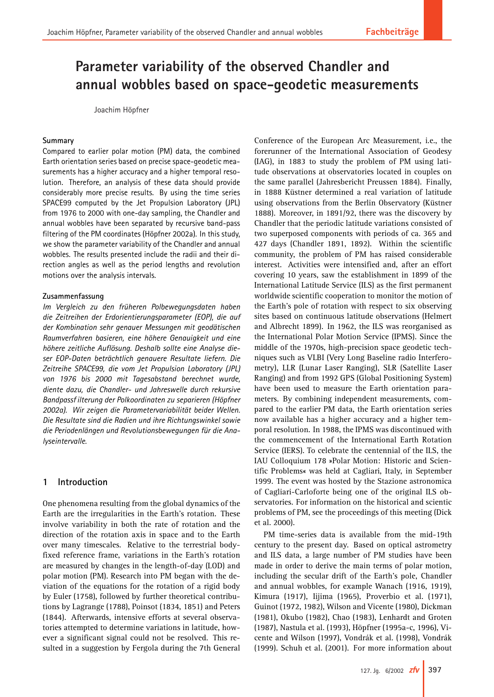# **Höpfner – Parameter variability of the observed Chandler and Parameter variability of the observed Chandler and annual wobbles based on space-geodetic measurements annual wobbles based on space-geodetic measurements**

Joachim Höpfner

## **Summary**

Compared to earlier polar motion (PM) data, the combined Earth orientation series based on precise space-geodetic measurements has a higher accuracy and a higher temporal resolution. Therefore, an analysis of these data should provide considerably more precise results. By using the time series SPACE99 computed by the Jet Propulsion Laboratory (JPL) from 1976 to 2000 with one-day sampling, the Chandler and annual wobbles have been separated by recursive band-pass filtering of the PM coordinates (Höpfner 2002a). In this study, we show the parameter variability of the Chandler and annual wobbles. The results presented include the radii and their direction angles as well as the period lengths and revolution motions over the analysis intervals.

## **Zusammenfassung**

*Im Vergleich zu den früheren Polbewegungsdaten haben die Zeitreihen der Erdorientierungsparameter (EOP), die auf der Kombination sehr genauer Messungen mit geodätischen Raumverfahren basieren, eine höhere Genauigkeit und eine höhere zeitliche Auflösung. Deshalb sollte eine Analyse dieser EOP-Daten beträchtlich genauere Resultate liefern. Die Zeitreihe SPACE99, die vom Jet Propulsion Laboratory (JPL) von 1976 bis 2000 mit Tagesabstand berechnet wurde, diente dazu, die Chandler- und Jahreswelle durch rekursive Bandpassf ilterung der Polkoordinaten zu separieren (Höpfner 2002a). Wir zeigen die Parametervariabilität beider Wellen. Die Resultate sind die Radien und ihre Richtungswinkel sowie die Periodenlängen und Revolutionsbewegungen für die Analyseintervalle.*

# **1 Introduction**

One phenomena resulting from the global dynamics of the Earth are the irregularities in the Earth's rotation. These involve variability in both the rate of rotation and the direction of the rotation axis in space and to the Earth over many timescales. Relative to the terrestrial bodyfixed reference frame, variations in the Earth's rotation are measured by changes in the length-of-day (LOD) and polar motion (PM). Research into PM began with the deviation of the equations for the rotation of a rigid body by Euler (1758), followed by further theoretical contributions by Lagrange (1788), Poinsot (1834, 1851) and Peters (1844). Afterwards, intensive efforts at several observatories attempted to determine variations in latitude, however a significant signal could not be resolved. This resulted in a suggestion by Fergola during the 7th General Conference of the European Arc Measurement, i.e., the forerunner of the International Association of Geodesy (IAG), in 1883 to study the problem of PM using latitude observations at observatories located in couples on the same parallel (Jahresbericht Preussen 1884). Finally, in 1888 Küstner determined a real variation of latitude using observations from the Berlin Observatory (Küstner 1888). Moreover, in 1891/92, there was the discovery by Chandler that the periodic latitude variations consisted of two superposed components with periods of ca. 365 and 427 days (Chandler 1891, 1892). Within the scientific community, the problem of PM has raised considerable interest. Activities were intensified and, after an effort covering 10 years, saw the establishment in 1899 of the International Latitude Service (ILS) as the first permanent worldwide scientific cooperation to monitor the motion of the Earth's pole of rotation with respect to six observing sites based on continuous latitude observations (Helmert and Albrecht 1899). In 1962, the ILS was reorganised as the International Polar Motion Service (IPMS). Since the middle of the 1970s, high-precision space geodetic techniques such as VLBI (Very Long Baseline radio Interferometry), LLR (Lunar Laser Ranging), SLR (Satellite Laser Ranging) and from 1992 GPS (Global Positioning System) have been used to measure the Earth orientation parameters. By combining independent measurements, compared to the earlier PM data, the Earth orientation series now available has a higher accuracy and a higher temporal resolution. In 1988, the IPMS was discontinued with the commencement of the International Earth Rotation Service (IERS). To celebrate the centennial of the ILS, the IAU Colloquium 178 »Polar Motion: Historic and Scientific Problems« was held at Cagliari, Italy, in September 1999. The event was hosted by the Stazione astronomica of Cagliari-Carloforte being one of the original ILS observatories. For information on the historical and scientic problems of PM, see the proceedings of this meeting (Dick et al. 2000).

PM time-series data is available from the mid-19th century to the present day. Based on optical astrometry and ILS data, a large number of PM studies have been made in order to derive the main terms of polar motion, including the secular drift of the Earth's pole, Chandler and annual wobbles, for example Wanach (1916, 1919), Kimura (1917), Iijima (1965), Proverbio et al. (1971), Guinot (1972, 1982), Wilson and Vicente (1980), Dickman (1981), Okubo (1982), Chao (1983), Lenhardt and Groten (1987), Nastula et al. (1993), Höpfner (1995a-c, 1996), Vicente and Wilson (1997), Vondrák et al. (1998), Vondrák (1999). Schuh et al. (2001). For more information about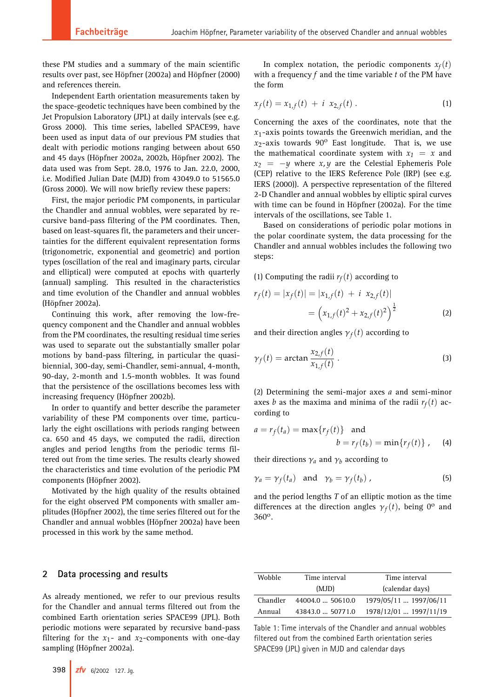these PM studies and a summary of the main scientific results over past, see Höpfner (2002a) and Höpfner (2000) and references therein.

Independent Earth orientation measurements taken by the space-geodetic techniques have been combined by the Jet Propulsion Laboratory (JPL) at daily intervals (see e.g. Gross 2000). This time series, labelled SPACE99, have been used as input data of our previous PM studies that dealt with periodic motions ranging between about 650 and 45 days (Höpfner 2002a, 2002b, Höpfner 2002). The data used was from Sept. 28.0, 1976 to Jan. 22.0, 2000, i.e. Modified Julian Date (MJD) from 43049.0 to 51565.0 (Gross 2000). We will now briefly review these papers:

First, the major periodic PM components, in particular the Chandler and annual wobbles, were separated by recursive band-pass filtering of the PM coordinates. Then, based on least-squares fit, the parameters and their uncertainties for the different equivalent representation forms (trigonometric, exponential and geometric) and portion types (oscillation of the real and imaginary parts, circular and elliptical) were computed at epochs with quarterly (annual) sampling. This resulted in the characteristics and time evolution of the Chandler and annual wobbles (Höpfner 2002a).

Continuing this work, after removing the low-frequency component and the Chandler and annual wobbles from the PM coordinates, the resulting residual time series was used to separate out the substantially smaller polar motions by band-pass filtering, in particular the quasibiennial, 300-day, semi-Chandler, semi-annual, 4-month, 90-day, 2-month and 1.5-month wobbles. It was found that the persistence of the oscillations becomes less with increasing frequency (Höpfner 2002b).

In order to quantify and better describe the parameter variability of these PM components over time, particularly the eight oscillations with periods ranging between ca. 650 and 45 days, we computed the radii, direction angles and period lengths from the periodic terms filtered out from the time series. The results clearly showed the characteristics and time evolution of the periodic PM components (Höpfner 2002).

Motivated by the high quality of the results obtained for the eight observed PM components with smaller amplitudes (Höpfner 2002), the time series filtered out for the Chandler and annual wobbles (Höpfner 2002a) have been processed in this work by the same method.

## **2 Data processing and results**

As already mentioned, we refer to our previous results for the Chandler and annual terms filtered out from the combined Earth orientation series SPACE99 (JPL). Both periodic motions were separated by recursive band-pass filtering for the  $x_1$ - and  $x_2$ -components with one-day sampling (Höpfner 2002a).

In complex notation, the periodic components  $x_f(t)$ with a frequency *f* and the time variable *t* of the PM have the form

$$
x_f(t) = x_{1,f}(t) + i x_{2,f}(t).
$$
 (1)

Concerning the axes of the coordinates, note that the  $x_1$ -axis points towards the Greenwich meridian, and the  $x_2$ -axis towards  $90^\circ$  East longitude. That is, we use the mathematical coordinate system with  $x_1 = x$  and  $x_2 = -y$  where  $x, y$  are the Celestial Ephemeris Pole (CEP) relative to the IERS Reference Pole (IRP) (see e.g. IERS (2000)). A perspective representation of the filtered 2-D Chandler and annual wobbles by elliptic spiral curves with time can be found in Höpfner (2002a). For the time intervals of the oscillations, see Table 1.

Based on considerations of periodic polar motions in the polar coordinate system, the data processing for the Chandler and annual wobbles includes the following two steps:

(1) Computing the radii  $r_f(t)$  according to

$$
r_f(t) = |x_f(t)| = |x_{1,f}(t) + i x_{2,f}(t)|
$$
  
=  $(x_{1,f}(t)^2 + x_{2,f}(t)^2)^{\frac{1}{2}}$  (2)

and their direction angles  $\gamma_f(t)$  according to

$$
\gamma_f(t) = \arctan \frac{x_{2,f}(t)}{x_{1,f}(t)} . \tag{3}
$$

(2) Determining the semi-major axes *a* and semi-minor axes *b* as the maxima and minima of the radii  $r_f(t)$  according to

$$
a = r_f(t_a) = \max\{r_f(t)\} \text{ and}
$$
  

$$
b = r_f(t_b) = \min\{r_f(t)\}, \quad (4)
$$

their directions  $\gamma_a$  and  $\gamma_b$  according to

$$
\gamma_a = \gamma_f(t_a) \quad \text{and} \quad \gamma_b = \gamma_f(t_b) \tag{5}
$$

and the period lengths *T* of an elliptic motion as the time differences at the direction angles  $\gamma_f(t)$ , being 0<sup>o</sup> and 360o.

| Wobble   | Time interval    | Time interval          |  |  |
|----------|------------------|------------------------|--|--|
|          | (MJD)            | (calendar days)        |  |  |
| Chandler | 44004.0  50610.0 | 1979/05/11  1997/06/11 |  |  |
| Annual   | 43843.0  50771.0 | 1978/12/01  1997/11/19 |  |  |

Table 1: Time intervals of the Chandler and annual wobbles filtered out from the combined Earth orientation series SPACE99 (JPL) given in MJD and calendar days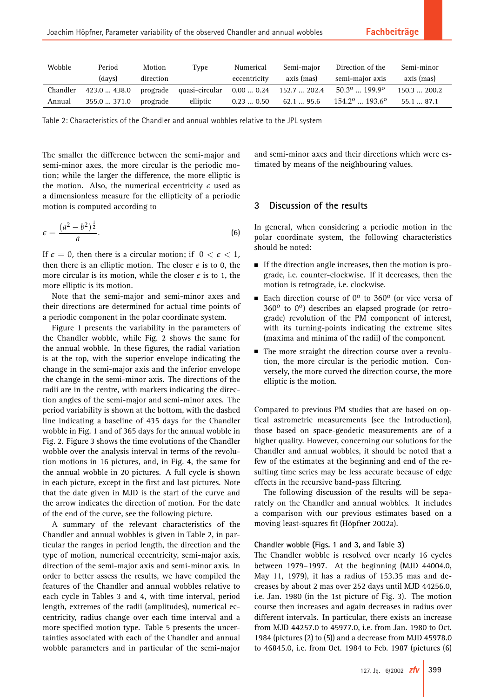| Wobble   | Period       | Motion    | Type                                                         | Numerical     | Semi-maior  | Direction of the                | Semi-minor    |
|----------|--------------|-----------|--------------------------------------------------------------|---------------|-------------|---------------------------------|---------------|
|          | (days)       | direction |                                                              | eccentricity  | axis (mas)  | semi-major axis                 | axis (mas)    |
| Chandler |              |           | 423.0  438.0 prograde quasi-circular 0.00  0.24 152.7  202.4 |               |             | $50.3^{\circ}$ $199.9^{\circ}$  | $150.3$ 200.2 |
| Annual   | 355.0  371.0 | prograde  | elliptic                                                     | $0.23$ $0.50$ | $62.1$ 95.6 | $154.2^{\circ}$ $193.6^{\circ}$ | 55.187.1      |

Table 2: Characteristics of the Chandler and annual wobbles relative to the JPL system

The smaller the difference between the semi-major and semi-minor axes, the more circular is the periodic motion; while the larger the difference, the more elliptic is the motion. Also, the numerical eccentricity  $\epsilon$  used as a dimensionless measure for the ellipticity of a periodic motion is computed according to

$$
\epsilon = \frac{(a^2 - b^2)^{\frac{1}{2}}}{a}.\tag{6}
$$

If  $\epsilon = 0$ , then there is a circular motion; if  $0 < \epsilon < 1$ , then there is an elliptic motion. The closer  $\epsilon$  is to 0, the more circular is its motion, while the closer  $\epsilon$  is to 1, the more elliptic is its motion.

Note that the semi-major and semi-minor axes and their directions are determined for actual time points of a periodic component in the polar coordinate system.

Figure 1 presents the variability in the parameters of the Chandler wobble, while Fig. 2 shows the same for the annual wobble. In these figures, the radial variation is at the top, with the superior envelope indicating the change in the semi-major axis and the inferior envelope the change in the semi-minor axis. The directions of the radii are in the centre, with markers indicating the direction angles of the semi-major and semi-minor axes. The period variability is shown at the bottom, with the dashed line indicating a baseline of 435 days for the Chandler wobble in Fig. 1 and of 365 days for the annual wobble in Fig. 2. Figure 3 shows the time evolutions of the Chandler wobble over the analysis interval in terms of the revolution motions in 16 pictures, and, in Fig. 4, the same for the annual wobble in 20 pictures. A full cycle is shown in each picture, except in the first and last pictures. Note that the date given in MJD is the start of the curve and the arrow indicates the direction of motion. For the date of the end of the curve, see the following picture.

A summary of the relevant characteristics of the Chandler and annual wobbles is given in Table 2, in particular the ranges in period length, the direction and the type of motion, numerical eccentricity, semi-major axis, direction of the semi-major axis and semi-minor axis. In order to better assess the results, we have compiled the features of the Chandler and annual wobbles relative to each cycle in Tables 3 and 4, with time interval, period length, extremes of the radii (amplitudes), numerical eccentricity, radius change over each time interval and a more specified motion type. Table 5 presents the uncertainties associated with each of the Chandler and annual wobble parameters and in particular of the semi-major and semi-minor axes and their directions which were estimated by means of the neighbouring values.

# **3 Discussion of the results**

In general, when considering a periodic motion in the polar coordinate system, the following characteristics should be noted:

- If the direction angle increases, then the motion is prograde, i.e. counter-clockwise. If it decreases, then the motion is retrograde, i.e. clockwise.
- Each direction course of  $0^{\circ}$  to 360 $^{\circ}$  (or vice versa of  $360^{\circ}$  to  $0^{\circ}$ ) describes an elapsed prograde (or retrograde) revolution of the PM component of interest, with its turning-points indicating the extreme sites (maxima and minima of the radii) of the component.
- The more straight the direction course over a revolution, the more circular is the periodic motion. Conversely, the more curved the direction course, the more elliptic is the motion.

Compared to previous PM studies that are based on optical astrometric measurements (see the Introduction), those based on space-geodetic measurements are of a higher quality. However, concerning our solutions for the Chandler and annual wobbles, it should be noted that a few of the estimates at the beginning and end of the resulting time series may be less accurate because of edge effects in the recursive band-pass filtering.

The following discussion of the results will be separately on the Chandler and annual wobbles. It includes a comparison with our previous estimates based on a moving least-squares fit (Höpfner 2002a).

#### **Chandler wobble (Figs. 1 and 3, and Table 3)**

The Chandler wobble is resolved over nearly 16 cycles between 1979–1997. At the beginning (MJD 44004.0, May 11, 1979), it has a radius of 153.35 mas and decreases by about 2 mas over 252 days until MJD 44256.0, i.e. Jan. 1980 (in the 1st picture of Fig. 3). The motion course then increases and again decreases in radius over different intervals. In particular, there exists an increase from MJD 44257.0 to 45977.0, i.e. from Jan. 1980 to Oct. 1984 (pictures (2) to (5)) and a decrease from MJD 45978.0 to 46845.0, i.e. from Oct. 1984 to Feb. 1987 (pictures (6)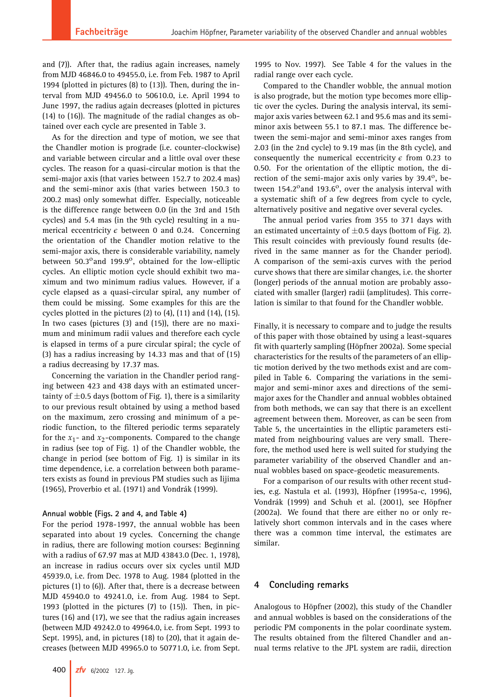and (7)). After that, the radius again increases, namely from MJD 46846.0 to 49455.0, i.e. from Feb. 1987 to April 1994 (plotted in pictures (8) to (13)). Then, during the interval from MJD 49456.0 to 50610.0, i.e. April 1994 to June 1997, the radius again decreases (plotted in pictures (14) to (16)). The magnitude of the radial changes as obtained over each cycle are presented in Table 3.

As for the direction and type of motion, we see that the Chandler motion is prograde (i.e. counter-clockwise) and variable between circular and a little oval over these cycles. The reason for a quasi-circular motion is that the semi-major axis (that varies between 152.7 to 202.4 mas) and the semi-minor axis (that varies between 150.3 to 200.2 mas) only somewhat differ. Especially, noticeable is the difference range between 0.0 (in the 3rd and 15th cycles) and 5.4 mas (in the 9th cycle) resulting in a numerical eccentricity  $\epsilon$  between 0 and 0.24. Concerning the orientation of the Chandler motion relative to the semi-major axis, there is considerable variability, namely between 50.3 $^{\circ}$ and 199.9 $^{\circ}$ , obtained for the low-elliptic cycles. An elliptic motion cycle should exhibit two maximum and two minimum radius values. However, if a cycle elapsed as a quasi-circular spiral, any number of them could be missing. Some examples for this are the cycles plotted in the pictures  $(2)$  to  $(4)$ ,  $(11)$  and  $(14)$ ,  $(15)$ . In two cases (pictures (3) and (15)), there are no maximum and minimum radii values and therefore each cycle is elapsed in terms of a pure circular spiral; the cycle of (3) has a radius increasing by 14.33 mas and that of (15) a radius decreasing by 17.37 mas.

Concerning the variation in the Chandler period ranging between 423 and 438 days with an estimated uncertainty of  $\pm$ 0.5 days (bottom of Fig. 1), there is a similarity to our previous result obtained by using a method based on the maximum, zero crossing and minimum of a periodic function, to the filtered periodic terms separately for the  $x_1$ - and  $x_2$ -components. Compared to the change in radius (see top of Fig. 1) of the Chandler wobble, the change in period (see bottom of Fig. 1) is similar in its time dependence, i.e. a correlation between both parameters exists as found in previous PM studies such as Iijima (1965), Proverbio et al. (1971) and Vondrák (1999).

#### **Annual wobble (Figs. 2 and 4, and Table 4)**

For the period 1978-1997, the annual wobble has been separated into about 19 cycles. Concerning the change in radius, there are following motion courses: Beginning with a radius of 67.97 mas at MJD 43843.0 (Dec. 1, 1978), an increase in radius occurs over six cycles until MJD 45939.0, i.e. from Dec. 1978 to Aug. 1984 (plotted in the pictures (1) to (6)). After that, there is a decrease between MJD 45940.0 to 49241.0, i.e. from Aug. 1984 to Sept. 1993 (plotted in the pictures (7) to (15)). Then, in pictures (16) and (17), we see that the radius again increases (between MJD 49242.0 to 49964.0, i.e. from Sept. 1993 to Sept. 1995), and, in pictures (18) to (20), that it again decreases (between MJD 49965.0 to 50771.0, i.e. from Sept.

**400** zfv 6/2002 127. Jg.

1995 to Nov. 1997). See Table 4 for the values in the radial range over each cycle.

Compared to the Chandler wobble, the annual motion is also prograde, but the motion type becomes more elliptic over the cycles. During the analysis interval, its semimajor axis varies between 62.1 and 95.6 mas and its semiminor axis between 55.1 to 87.1 mas. The difference between the semi-major and semi-minor axes ranges from 2.03 (in the 2nd cycle) to 9.19 mas (in the 8th cycle), and consequently the numerical eccentricity  $\epsilon$  from 0.23 to 0.50. For the orientation of the elliptic motion, the direction of the semi-major axis only varies by  $39.4^{\circ}$ , between 154.2 $^{\circ}$ and 193.6 $^{\circ}$ , over the analysis interval with a systematic shift of a few degrees from cycle to cycle, alternatively positive and negative over several cycles.

The annual period varies from 355 to 371 days with an estimated uncertainty of  $\pm$ 0.5 days (bottom of Fig. 2). This result coincides with previously found results (derived in the same manner as for the Chander period). A comparison of the semi-axis curves with the period curve shows that there are similar changes, i.e. the shorter (longer) periods of the annual motion are probably associated with smaller (larger) radii (amplitudes). This correlation is similar to that found for the Chandler wobble.

Finally, it is necessary to compare and to judge the results of this paper with those obtained by using a least-squares fit with quarterly sampling (Höpfner 2002a). Some special characteristics for the results of the parameters of an elliptic motion derived by the two methods exist and are compiled in Table 6. Comparing the variations in the semimajor and semi-minor axes and directions of the semimajor axes for the Chandler and annual wobbles obtained from both methods, we can say that there is an excellent agreement between them. Moreover, as can be seen from Table 5, the uncertainties in the elliptic parameters estimated from neighbouring values are very small. Therefore, the method used here is well suited for studying the parameter variability of the observed Chandler and annual wobbles based on space-geodetic measurements.

For a comparison of our results with other recent studies, e.g. Nastula et al. (1993), Höpfner (1995a-c, 1996), Vondrák (1999) and Schuh et al. (2001), see Höpfner (2002a). We found that there are either no or only relatively short common intervals and in the cases where there was a common time interval, the estimates are similar.

## **4 Concluding remarks**

Analogous to Höpfner (2002), this study of the Chandler and annual wobbles is based on the considerations of the periodic PM components in the polar coordinate system. The results obtained from the filtered Chandler and annual terms relative to the JPL system are radii, direction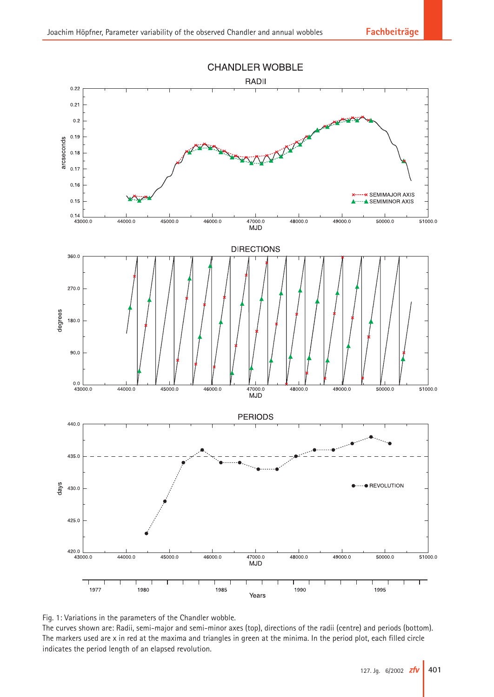

Fig. 1: Variations in the parameters of the Chandler wobble.

The curves shown are: Radii, semi-major and semi-minor axes (top), directions of the radii (centre) and periods (bottom). The markers used are x in red at the maxima and triangles in green at the minima. In the period plot, each filled circle indicates the period length of an elapsed revolution.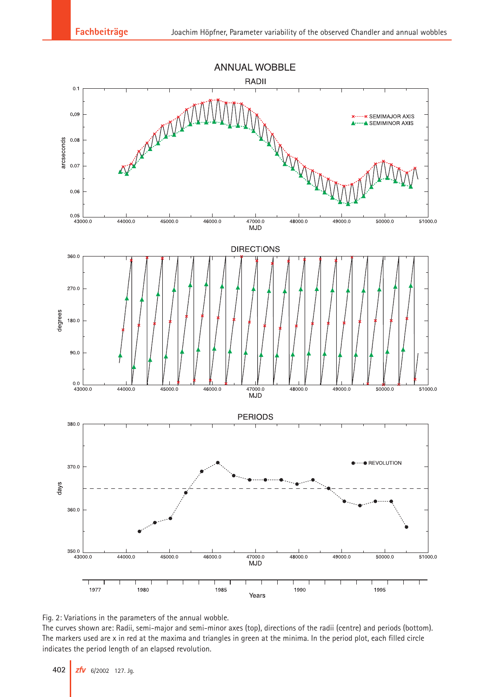

Fig. 2: Variations in the parameters of the annual wobble.

The curves shown are: Radii, semi-major and semi-minor axes (top), directions of the radii (centre) and periods (bottom). The markers used are x in red at the maxima and triangles in green at the minima. In the period plot, each filled circle indicates the period length of an elapsed revolution.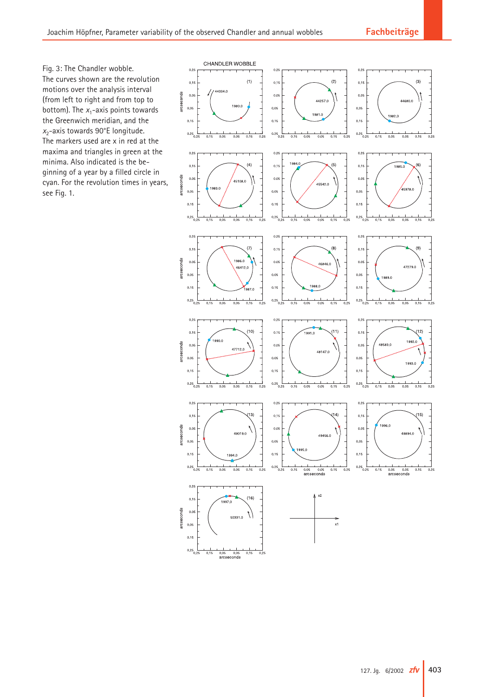Fig. 3: The Chandler wobble. The curves shown are the revolution motions over the analysis interval (from left to right and from top to bottom). The  $x_1$ -axis points towards the Greenwich meridian, and the *x*2-axis towards 90°E longitude. The markers used are x in red at the maxima and triangles in green at the minima. Also indicated is the beginning of a year by a filled circle in cyan. For the revolution times in years, see Fig. 1.

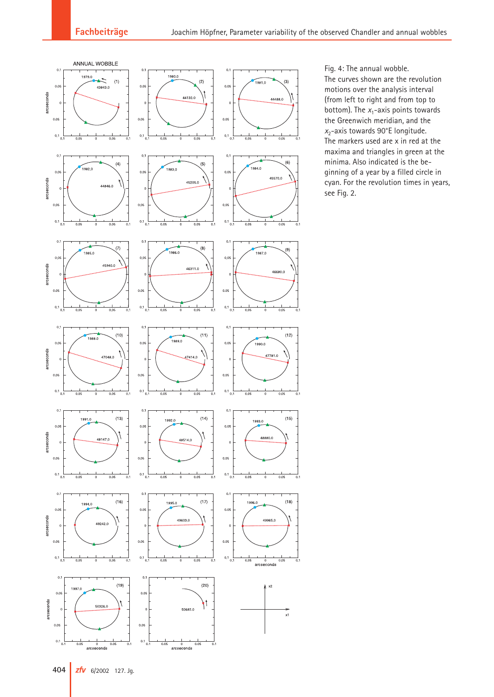

Fig. 4: The annual wobble. The curves shown are the revolution motions over the analysis interval (from left to right and from top to bottom). The  $x_1$ -axis points towards the Greenwich meridian, and the *x*2-axis towards 90°E longitude. The markers used are x in red at the maxima and triangles in green at the minima. Also indicated is the beginning of a year by a filled circle in cyan. For the revolution times in years, see Fig. 2.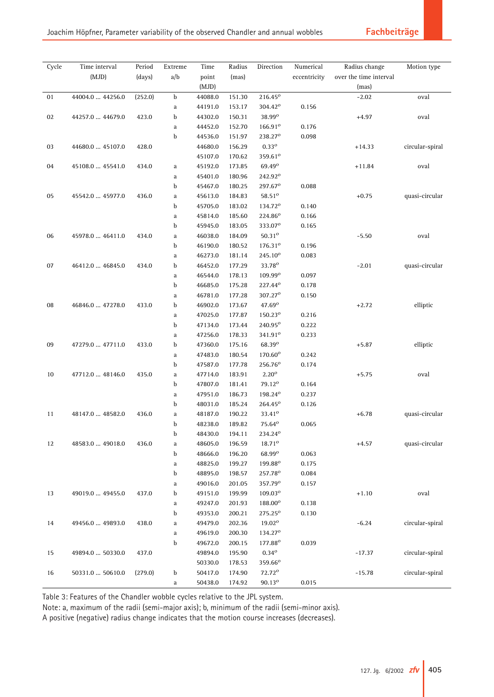| Cycle | Time interval    | Period  | Extreme     | Time    | Radius | Direction           | Numerical    | Radius change          | Motion type     |
|-------|------------------|---------|-------------|---------|--------|---------------------|--------------|------------------------|-----------------|
|       | (MJD)            | (days)  | a/b         | point   | (mas)  |                     | eccentricity | over the time interval |                 |
|       |                  |         |             | (MJD)   |        |                     |              | (mas)                  |                 |
| 01    | 44004.0  44256.0 | (252.0) | b           | 44088.0 | 151.30 | 216.45 <sup>o</sup> |              | $-2.02$                | oval            |
|       |                  |         | a           | 44191.0 | 153.17 | 304.42 <sup>o</sup> | 0.156        |                        |                 |
| 02    | 44257.0  44679.0 | 423.0   | b           | 44302.0 | 150.31 | 38.99 <sup>o</sup>  |              | $+4.97$                | oval            |
|       |                  |         | a           | 44452.0 | 152.70 | $166.91^{\circ}$    | 0.176        |                        |                 |
|       |                  |         | b           | 44536.0 | 151.97 | 238.27 <sup>o</sup> | 0.098        |                        |                 |
| 03    | 44680.0  45107.0 | 428.0   |             | 44680.0 | 156.29 | $0.33^{\circ}$      |              | $+14.33$               | circular-spiral |
|       |                  |         |             | 45107.0 | 170.62 | $359.61^{\circ}$    |              |                        |                 |
| 04    | 45108.0  45541.0 | 434.0   | a           | 45192.0 | 173.85 | 69.49 <sup>o</sup>  |              | $+11.84$               | oval            |
|       |                  |         | a           | 45401.0 | 180.96 | 242.92 <sup>o</sup> |              |                        |                 |
|       |                  |         | b           | 45467.0 | 180.25 | 297.67 <sup>°</sup> | 0.088        |                        |                 |
| 05    | 45542.0  45977.0 | 436.0   | a           | 45613.0 | 184.83 | 58.51 <sup>o</sup>  |              | $+0.75$                | quasi-circular  |
|       |                  |         | b           | 45705.0 | 183.02 | 134.72 <sup>o</sup> | 0.140        |                        |                 |
|       |                  |         | a           | 45814.0 | 185.60 | 224.86 <sup>o</sup> | 0.166        |                        |                 |
|       |                  |         | b           | 45945.0 | 183.05 | 333.07 <sup>o</sup> | 0.165        |                        |                 |
| 06    | 45978.0  46411.0 | 434.0   | a           | 46038.0 | 184.09 | $50.31^{\circ}$     |              | $-5.50$                | oval            |
|       |                  |         | b           | 46190.0 | 180.52 | $176.31^{\circ}$    | 0.196        |                        |                 |
|       |                  |         | a           | 46273.0 | 181.14 | 245.10 <sup>o</sup> | 0.083        |                        |                 |
| 07    | 46412.0  46845.0 | 434.0   | b           | 46452.0 | 177.29 | 33.78 <sup>o</sup>  |              | $-2.01$                | quasi-circular  |
|       |                  |         | a           | 46544.0 | 178.13 | $109.99^{\circ}$    | 0.097        |                        |                 |
|       |                  |         | b           | 46685.0 | 175.28 | 227.44°             | 0.178        |                        |                 |
|       |                  |         | a           | 46781.0 | 177.28 | 307.27 <sup>o</sup> | 0.150        |                        |                 |
| 08    | 46846.0  47278.0 | 433.0   | b           | 46902.0 | 173.67 | $47.69^{\circ}$     |              | $+2.72$                | elliptic        |
|       |                  |         | a           | 47025.0 | 177.87 | $150.23^{\rm o}$    | 0.216        |                        |                 |
|       |                  |         | b           | 47134.0 | 173.44 | 240.95°             | 0.222        |                        |                 |
|       |                  |         | a           | 47256.0 | 178.33 | $341.91^{\circ}$    | 0.233        |                        |                 |
| 09    | 47279.0  47711.0 | 433.0   | b           | 47360.0 | 175.16 | 68.39 <sup>o</sup>  |              | $+5.87$                | elliptic        |
|       |                  |         | a           | 47483.0 | 180.54 | 170.60°             | 0.242        |                        |                 |
|       |                  |         | b           | 47587.0 | 177.78 | 256.76 <sup>o</sup> | 0.174        |                        |                 |
| 10    | 47712.0  48146.0 | 435.0   | $\rm{a}$    | 47714.0 | 183.91 | $2.20^{\circ}$      |              | $+5.75$                | oval            |
|       |                  |         | b           | 47807.0 | 181.41 | $79.12^{\circ}$     | 0.164        |                        |                 |
|       |                  |         | a           | 47951.0 | 186.73 | 198.24 <sup>o</sup> | 0.237        |                        |                 |
|       |                  |         | b           | 48031.0 | 185.24 | 264.45 <sup>o</sup> | 0.126        |                        |                 |
| 11    | 48147.0  48582.0 | 436.0   | $\rm{a}$    | 48187.0 | 190.22 | 33.41 <sup>o</sup>  |              | $+6.78$                | quasi-circular  |
|       |                  |         | b           | 48238.0 | 189.82 | 75.64 <sup>o</sup>  | 0.065        |                        |                 |
|       |                  |         | b           | 48430.0 | 194.11 | 234.24 <sup>o</sup> |              |                        |                 |
| 12    | 48583.0  49018.0 | 436.0   | $\mathbf a$ | 48605.0 | 196.59 | 18.710              |              | $+4.57$                | quasi-circular  |
|       |                  |         | b           | 48666.0 | 196.20 | $68.99^\mathrm{o}$  | 0.063        |                        |                 |
|       |                  |         | a           | 48825.0 | 199.27 | 199.88 <sup>°</sup> | 0.175        |                        |                 |
|       |                  |         | b           | 48895.0 | 198.57 | 257.78 <sup>o</sup> | 0.084        |                        |                 |
|       |                  |         | a           | 49016.0 | 201.05 | 357.79 <sup>o</sup> | 0.157        |                        |                 |
| 13    | 49019.0  49455.0 | 437.0   | b           | 49151.0 | 199.99 | $109.03^{\circ}$    |              | $+1.10$                | oval            |
|       |                  |         | a           | 49247.0 | 201.93 | 188.00°             | 0.138        |                        |                 |
|       |                  |         | b           | 49353.0 | 200.21 | $275.25^{\circ}$    | 0.130        |                        |                 |
| 14    | 49456.0  49893.0 | 438.0   | a           | 49479.0 | 202.36 | 19.02°              |              | $-6.24$                | circular-spiral |
|       |                  |         | a           | 49619.0 | 200.30 | 134.27 <sup>o</sup> |              |                        |                 |
|       |                  |         | b           | 49672.0 | 200.15 | 177.88 <sup>o</sup> | 0.039        |                        |                 |
| 15    | 49894.0  50330.0 | 437.0   |             | 49894.0 | 195.90 | $0.34^{\circ}$      |              | $-17.37$               | circular-spiral |
|       |                  |         |             | 50330.0 | 178.53 | 359.66 <sup>o</sup> |              |                        |                 |
| 16    | 50331.0  50610.0 | (279.0) | b           | 50417.0 | 174.90 | 72.72 <sup>o</sup>  |              | $-15.78$               | circular-spiral |
|       |                  |         | a           | 50438.0 | 174.92 | $90.13^{o}$         | 0.015        |                        |                 |

Table 3: Features of the Chandler wobble cycles relative to the JPL system.

Note: a, maximum of the radii (semi-major axis); b, minimum of the radii (semi-minor axis).

A positive (negative) radius change indicates that the motion course increases (decreases).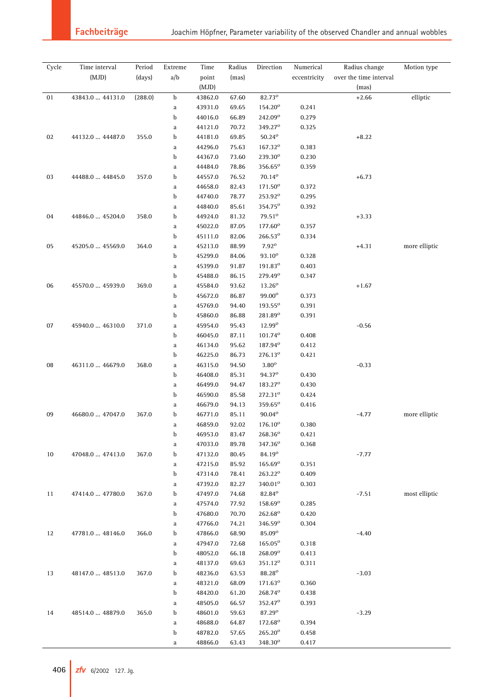| Cycle | Time interval    | Period  | Extreme  | Time    | Radius | Direction           | Numerical    | Radius change          | Motion type   |
|-------|------------------|---------|----------|---------|--------|---------------------|--------------|------------------------|---------------|
|       | (MJD)            | (days)  | a/b      | point   | (max)  |                     | eccentricity | over the time interval |               |
|       |                  |         |          | (MJD)   |        |                     |              | (mas)                  |               |
| 01    | 43843.0  44131.0 | (288.0) | b        | 43862.0 | 67.60  | 82.73°              |              | $+2.66$                | elliptic      |
|       |                  |         | a        | 43931.0 | 69.65  | 154.20 <sup>o</sup> | 0.241        |                        |               |
|       |                  |         | b        | 44016.0 | 66.89  | 242.09 <sup>o</sup> | 0.279        |                        |               |
|       |                  |         | a        | 44121.0 | 70.72  | 349.27 <sup>o</sup> | 0.325        |                        |               |
| 02    | 44132.0  44487.0 | 355.0   | b        | 44181.0 | 69.85  | $50.24^{\circ}$     |              | $+8.22$                |               |
|       |                  |         | a        | 44296.0 | 75.63  | 167.32 <sup>o</sup> | 0.383        |                        |               |
|       |                  |         | b        | 44367.0 | 73.60  | 239.30°             | 0.230        |                        |               |
|       |                  |         | a        | 44484.0 | 78.86  | 356.65°             | 0.359        |                        |               |
| 03    | 44488.0  44845.0 | 357.0   | b        | 44557.0 | 76.52  | $70.14^{\circ}$     |              | $+6.73$                |               |
|       |                  |         | a        | 44658.0 | 82.43  | 171.50 <sup>o</sup> | 0.372        |                        |               |
|       |                  |         | b        | 44740.0 | 78.77  | 253.92 <sup>o</sup> | 0.295        |                        |               |
|       |                  |         | a        | 44840.0 | 85.61  | 354.75 <sup>o</sup> | 0.392        |                        |               |
| 04    | 44846.0  45204.0 | 358.0   | b        | 44924.0 | 81.32  | $79.51^{\circ}$     |              | $+3.33$                |               |
|       |                  |         | a        | 45022.0 | 87.05  | 177.60°             | 0.357        |                        |               |
|       |                  |         | b        | 45111.0 | 82.06  | 266.53°             | 0.334        |                        |               |
| 05    | 45205.0  45569.0 | 364.0   | a        | 45213.0 | 88.99  | $7.92^\circ$        |              | $+4.31$                | more elliptic |
|       |                  |         | b        | 45299.0 | 84.06  | $93.10^{o}$         | 0.328        |                        |               |
|       |                  |         | a        | 45399.0 | 91.87  | 191.83 <sup>o</sup> | 0.403        |                        |               |
|       |                  |         | b        | 45488.0 | 86.15  | 279.49 <sup>o</sup> | 0.347        |                        |               |
| 06    | 45570.0  45939.0 | 369.0   | a        | 45584.0 | 93.62  | $13.26^{\circ}$     |              | $+1.67$                |               |
|       |                  |         | b        | 45672.0 | 86.87  | 99.00°              | 0.373        |                        |               |
|       |                  |         | $\rm{a}$ | 45769.0 | 94.40  | 193.55 <sup>o</sup> | 0.391        |                        |               |
|       |                  |         | b        | 45860.0 | 86.88  | 281.89 <sup>o</sup> | 0.391        |                        |               |
| 07    | 45940.0  46310.0 | 371.0   | $\rm{a}$ | 45954.0 | 95.43  | 12.99 <sup>o</sup>  |              | $-0.56$                |               |
|       |                  |         | b        | 46045.0 | 87.11  | $101.74^{\circ}$    | 0.408        |                        |               |
|       |                  |         | a        | 46134.0 | 95.62  | 187.94 <sup>o</sup> | 0.412        |                        |               |
|       |                  |         | b        | 46225.0 | 86.73  | $276.13^{\circ}$    | 0.421        |                        |               |
| 08    | 46311.0  46679.0 | 368.0   | $\rm{a}$ | 46315.0 | 94.50  | $3.80^\circ$        |              | $-0.33$                |               |
|       |                  |         | b        | 46408.0 | 85.31  | 94.37 <sup>o</sup>  | 0.430        |                        |               |
|       |                  |         | $\rm{a}$ | 46499.0 | 94.47  | 183.27 <sup>o</sup> | 0.430        |                        |               |
|       |                  |         | b        | 46590.0 | 85.58  | 272.31 <sup>o</sup> | 0.424        |                        |               |
|       |                  |         | a        | 46679.0 | 94.13  | $359.65^{\circ}$    | 0.416        |                        |               |
| 09    | 46680.0  47047.0 | 367.0   | b        | 46771.0 | 85.11  | $90.04^{\circ}$     |              | $-4.77$                | more elliptic |
|       |                  |         | a        | 46859.0 | 92.02  | $176.10^{\circ}$    | 0.380        |                        |               |
|       |                  |         | b        | 46953.0 | 83.47  | $268.36^{\circ}$    | 0.421        |                        |               |
|       |                  |         | a        | 47033.0 | 89.78  | 347.36 <sup>o</sup> | 0.368        |                        |               |
| 10    | 47048.0  47413.0 | 367.0   | b        | 47132.0 | 80.45  | 84.19 <sup>o</sup>  |              | $-7.77$                |               |
|       |                  |         | a        | 47215.0 | 85.92  | $165.69^{\circ}$    | 0.351        |                        |               |
|       |                  |         | b        | 47314.0 | 78.41  | 263.22 <sup>o</sup> | 0.409        |                        |               |
|       |                  |         | a        | 47392.0 | 82.27  | 340.01 <sup>o</sup> | 0.303        |                        |               |
| 11    | 47414.0  47780.0 | 367.0   | b        | 47497.0 | 74.68  | 82.84°              |              | $-7.51$                | most elliptic |
|       |                  |         | a        | 47574.0 | 77.92  | 158.69 <sup>o</sup> | 0.285        |                        |               |
|       |                  |         | b        | 47680.0 | 70.70  | 262.68 <sup>o</sup> | 0.420        |                        |               |
|       |                  |         | a        | 47766.0 | 74.21  | 346.59 <sup>o</sup> | 0.304        |                        |               |
| 12    | 47781.0  48146.0 | 366.0   | b        | 47866.0 | 68.90  | 85.09 <sup>o</sup>  |              | $-4.40$                |               |
|       |                  |         | a        | 47947.0 | 72.68  | 165.05°             | 0.318        |                        |               |
|       |                  |         | b        | 48052.0 | 66.18  | 268.09 <sup>o</sup> | 0.413        |                        |               |
|       |                  |         | a        | 48137.0 | 69.63  | 351.12 <sup>o</sup> | 0.311        |                        |               |
| 13    | 48147.0  48513.0 | 367.0   | b        | 48236.0 | 63.53  | 88.28 <sup>o</sup>  |              | $-3.03$                |               |
|       |                  |         | a        | 48321.0 | 68.09  | 171.63 <sup>o</sup> | 0.360        |                        |               |
|       |                  |         | b        | 48420.0 | 61.20  | 268.74 <sup>o</sup> | 0.438        |                        |               |
|       |                  |         | a        | 48505.0 | 66.57  | 352.47 <sup>o</sup> | 0.393        |                        |               |
| 14    | 48514.0  48879.0 | 365.0   | b        | 48601.0 | 59.63  | 87.29 <sup>o</sup>  |              | $-3.29$                |               |
|       |                  |         | a        | 48688.0 | 64.87  | 172.68 <sup>o</sup> | 0.394        |                        |               |
|       |                  |         | b        | 48782.0 | 57.65  | 265.20 <sup>o</sup> | 0.458        |                        |               |
|       |                  |         | a        | 48866.0 | 63.43  | 348.30 <sup>o</sup> | 0.417        |                        |               |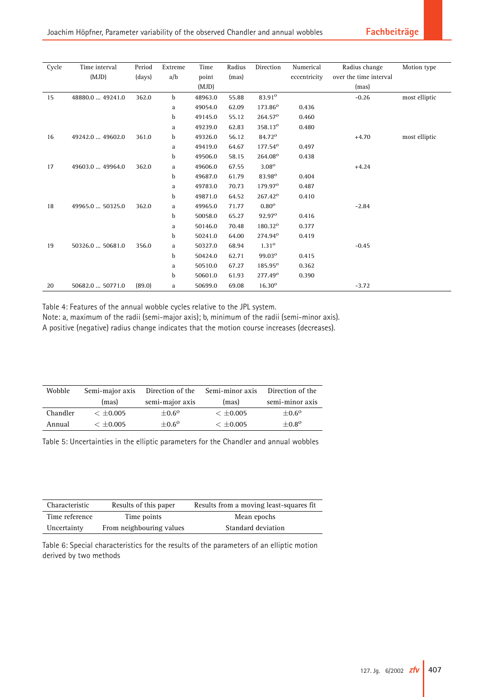| Cycle | Time interval    | Period | Extreme | Time    | Radius | Direction           | Numerical    | Radius change          | Motion type   |
|-------|------------------|--------|---------|---------|--------|---------------------|--------------|------------------------|---------------|
|       | (MJD)            | (days) | a/b     | point   | (mas)  |                     | eccentricity | over the time interval |               |
|       |                  |        |         | (MJD)   |        |                     |              | (mas)                  |               |
| 15    | 48880.0  49241.0 | 362.0  | b       | 48963.0 | 55.88  | 83.91 <sup>o</sup>  |              | $-0.26$                | most elliptic |
|       |                  |        | a       | 49054.0 | 62.09  | 173.86 <sup>o</sup> | 0.436        |                        |               |
|       |                  |        | b       | 49145.0 | 55.12  | 264.57 <sup>°</sup> | 0.460        |                        |               |
|       |                  |        | a       | 49239.0 | 62.83  | 358.13 <sup>o</sup> | 0.480        |                        |               |
| 16    | 49242.0  49602.0 | 361.0  | b       | 49326.0 | 56.12  | 84.72 <sup>o</sup>  |              | $+4.70$                | most elliptic |
|       |                  |        | a       | 49419.0 | 64.67  | 177.54 <sup>o</sup> | 0.497        |                        |               |
|       |                  |        | b       | 49506.0 | 58.15  | 264.08°             | 0.438        |                        |               |
| 17    | 49603.0  49964.0 | 362.0  | a       | 49606.0 | 67.55  | $3.08^\circ$        |              | $+4.24$                |               |
|       |                  |        | b       | 49687.0 | 61.79  | 83.98 <sup>o</sup>  | 0.404        |                        |               |
|       |                  |        | a       | 49783.0 | 70.73  | 179.97 <sup>°</sup> | 0.487        |                        |               |
|       |                  |        | b       | 49871.0 | 64.52  | 267.42 <sup>o</sup> | 0.410        |                        |               |
| 18    | 49965.0  50325.0 | 362.0  | a       | 49965.0 | 71.77  | $0.80^\circ$        |              | $-2.84$                |               |
|       |                  |        | b       | 50058.0 | 65.27  | $92.97^{\circ}$     | 0.416        |                        |               |
|       |                  |        | a       | 50146.0 | 70.48  | 180.32 <sup>o</sup> | 0.377        |                        |               |
|       |                  |        | b       | 50241.0 | 64.00  | 274.94 <sup>o</sup> | 0.419        |                        |               |
| 19    | 50326.0  50681.0 | 356.0  | a       | 50327.0 | 68.94  | $1.31^{\circ}$      |              | $-0.45$                |               |
|       |                  |        | b       | 50424.0 | 62.71  | 99.03°              | 0.415        |                        |               |
|       |                  |        | a       | 50510.0 | 67.27  | 185.95°             | 0.362        |                        |               |
|       |                  |        | b       | 50601.0 | 61.93  | 277.49 <sup>o</sup> | 0.390        |                        |               |
| 20    | 50682.0  50771.0 | (89.0) | a       | 50699.0 | 69.08  | $16.30^{\circ}$     |              | $-3.72$                |               |

Table 4: Features of the annual wobble cycles relative to the JPL system.

Note: a, maximum of the radii (semi-major axis); b, minimum of the radii (semi-minor axis). A positive (negative) radius change indicates that the motion course increases (decreases).

| Wobble   | Semi-major axis | Direction of the | Semi-minor axis | Direction of the |
|----------|-----------------|------------------|-----------------|------------------|
|          | (mas)           | semi-major axis  | (mas)           | semi-minor axis  |
| Chandler | $< +0.005$      | $+0.6^{\circ}$   | $< \pm 0.005$   | $+0.6^{\circ}$   |
| Annual   | $< +0.005$      | $+0.6^{\circ}$   | $< +0.005$      | $+0.8^{o}$       |

Table 5: Uncertainties in the elliptic parameters for the Chandler and annual wobbles

| Characteristic | Results of this paper    | Results from a moving least-squares fit. |
|----------------|--------------------------|------------------------------------------|
| Time reference | Time points              | Mean epochs                              |
| Uncertainty    | From neighbouring values | Standard deviation                       |

Table 6: Special characteristics for the results of the parameters of an elliptic motion derived by two methods